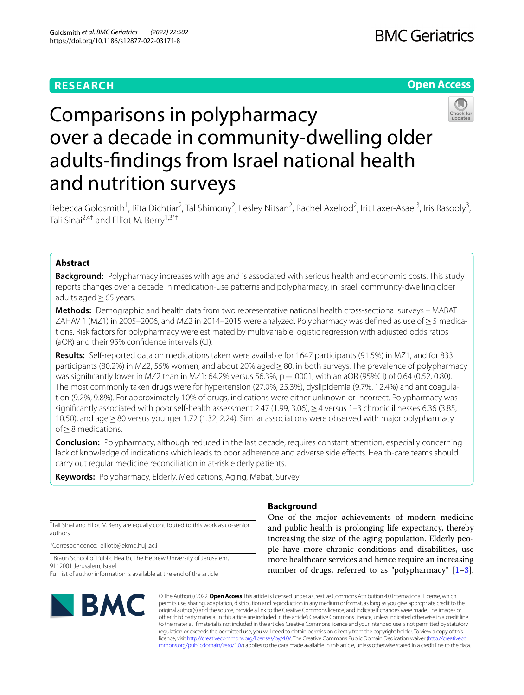# **RESEARCH**

# **Open Access**



# Comparisons in polypharmacy over a decade in community-dwelling older adults-fndings from Israel national health and nutrition surveys

Rebecca Goldsmith<sup>1</sup>, Rita Dichtiar<sup>2</sup>, Tal Shimony<sup>2</sup>, Lesley Nitsan<sup>2</sup>, Rachel Axelrod<sup>2</sup>, Irit Laxer-Asael<sup>3</sup>, Iris Rasooly<sup>3</sup>, Tali Sinai<sup>2,4†</sup> and Elliot M. Berry<sup>1,3\*†</sup>

# **Abstract**

**Background:** Polypharmacy increases with age and is associated with serious health and economic costs. This study reports changes over a decade in medication-use patterns and polypharmacy, in Israeli community-dwelling older adults aged≥65 years.

**Methods:** Demographic and health data from two representative national health cross-sectional surveys – MABAT ZAHAV 1 (MZ1) in 2005–2006, and MZ2 in 2014–2015 were analyzed. Polypharmacy was defined as use of ≥ 5 medications. Risk factors for polypharmacy were estimated by multivariable logistic regression with adjusted odds ratios (aOR) and their 95% confdence intervals (CI).

**Results:** Self-reported data on medications taken were available for 1647 participants (91.5%) in MZ1, and for 833 participants (80.2%) in MZ2, 55% women, and about 20% aged > 80, in both surveys. The prevalence of polypharmacy was significantly lower in MZ2 than in MZ1: 64.2% versus 56.3%,  $p = .0001$ ; with an aOR (95%CI) of 0.64 (0.52, 0.80). The most commonly taken drugs were for hypertension (27.0%, 25.3%), dyslipidemia (9.7%, 12.4%) and anticoagulation (9.2%, 9.8%). For approximately 10% of drugs, indications were either unknown or incorrect. Polypharmacy was significantly associated with poor self-health assessment 2.47 (1.99, 3.06),  $\geq$  4 versus 1–3 chronic illnesses 6.36 (3.85, 10.50), and age≥80 versus younger 1.72 (1.32, 2.24). Similar associations were observed with major polypharmacy of≥8 medications.

**Conclusion:** Polypharmacy, although reduced in the last decade, requires constant attention, especially concerning lack of knowledge of indications which leads to poor adherence and adverse side efects. Health-care teams should carry out regular medicine reconciliation in at-risk elderly patients.

**Keywords:** Polypharmacy, Elderly, Medications, Aging, Mabat, Survey

† Tali Sinai and Elliot M Berry are equally contributed to this work as co-senior authors.

\*Correspondence: elliotb@ekmd.huji.ac.il

<sup>1</sup> Braun School of Public Health, The Hebrew University of Jerusalem, 9112001 Jerusalem, Israel

Full list of author information is available at the end of the article



# **Background**

One of the major achievements of modern medicine and public health is prolonging life expectancy, thereby increasing the size of the aging population. Elderly people have more chronic conditions and disabilities, use more healthcare services and hence require an increasing number of drugs, referred to as "polypharmacy"  $[1-3]$  $[1-3]$ .

© The Author(s) 2022. **Open Access** This article is licensed under a Creative Commons Attribution 4.0 International License, which permits use, sharing, adaptation, distribution and reproduction in any medium or format, as long as you give appropriate credit to the original author(s) and the source, provide a link to the Creative Commons licence, and indicate if changes were made. The images or other third party material in this article are included in the article's Creative Commons licence, unless indicated otherwise in a credit line to the material. If material is not included in the article's Creative Commons licence and your intended use is not permitted by statutory regulation or exceeds the permitted use, you will need to obtain permission directly from the copyright holder. To view a copy of this licence, visit [http://creativecommons.org/licenses/by/4.0/.](http://creativecommons.org/licenses/by/4.0/) The Creative Commons Public Domain Dedication waiver ([http://creativeco](http://creativecommons.org/publicdomain/zero/1.0/) [mmons.org/publicdomain/zero/1.0/](http://creativecommons.org/publicdomain/zero/1.0/)) applies to the data made available in this article, unless otherwise stated in a credit line to the data.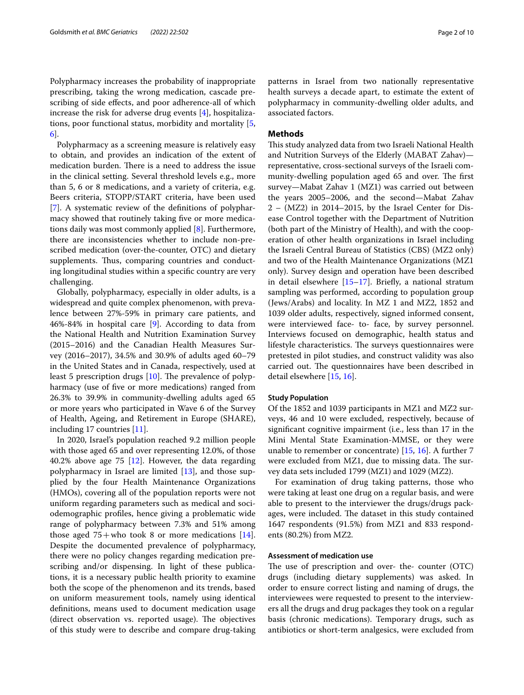Polypharmacy increases the probability of inappropriate prescribing, taking the wrong medication, cascade prescribing of side efects, and poor adherence-all of which increase the risk for adverse drug events [\[4](#page-8-2)], hospitalizations, poor functional status, morbidity and mortality [\[5](#page-8-3), [6\]](#page-8-4).

Polypharmacy as a screening measure is relatively easy to obtain, and provides an indication of the extent of medication burden. There is a need to address the issue in the clinical setting. Several threshold levels e.g., more than 5, 6 or 8 medications, and a variety of criteria, e.g. Beers criteria, STOPP/START criteria, have been used [[7\]](#page-9-0). A systematic review of the defnitions of polypharmacy showed that routinely taking five or more medications daily was most commonly applied [\[8](#page-9-1)]. Furthermore, there are inconsistencies whether to include non-prescribed medication (over-the-counter, OTC) and dietary supplements. Thus, comparing countries and conducting longitudinal studies within a specifc country are very challenging.

Globally, polypharmacy, especially in older adults, is a widespread and quite complex phenomenon, with prevalence between 27%-59% in primary care patients, and 46%-84% in hospital care [\[9](#page-9-2)]. According to data from the National Health and Nutrition Examination Survey (2015–2016) and the Canadian Health Measures Survey (2016–2017), 34.5% and 30.9% of adults aged 60–79 in the United States and in Canada, respectively, used at least 5 prescription drugs  $[10]$  $[10]$ . The prevalence of polypharmacy (use of fve or more medications) ranged from 26.3% to 39.9% in community-dwelling adults aged 65 or more years who participated in Wave 6 of the Survey of Health, Ageing, and Retirement in Europe (SHARE), including 17 countries [\[11](#page-9-4)].

In 2020, Israel's population reached 9.2 million people with those aged 65 and over representing 12.0%, of those 40.2% above age 75 [\[12\]](#page-9-5). However, the data regarding polypharmacy in Israel are limited [[13\]](#page-9-6), and those supplied by the four Health Maintenance Organizations (HMOs), covering all of the population reports were not uniform regarding parameters such as medical and sociodemographic profles, hence giving a problematic wide range of polypharmacy between 7.3% and 51% among those aged  $75+$ who took 8 or more medications [\[14](#page-9-7)]. Despite the documented prevalence of polypharmacy, there were no policy changes regarding medication prescribing and/or dispensing. In light of these publications, it is a necessary public health priority to examine both the scope of the phenomenon and its trends, based on uniform measurement tools, namely using identical defnitions, means used to document medication usage (direct observation vs. reported usage). The objectives of this study were to describe and compare drug-taking

patterns in Israel from two nationally representative health surveys a decade apart, to estimate the extent of polypharmacy in community-dwelling older adults, and associated factors.

## **Methods**

This study analyzed data from two Israeli National Health and Nutrition Surveys of the Elderly (MABAT Zahav) representative, cross-sectional surveys of the Israeli community-dwelling population aged 65 and over. The first survey—Mabat Zahav 1 (MZ1) was carried out between the years 2005–2006, and the second—Mabat Zahav 2 – (MZ2) in 2014–2015, by the Israel Center for Disease Control together with the Department of Nutrition (both part of the Ministry of Health), and with the cooperation of other health organizations in Israel including the Israeli Central Bureau of Statistics (CBS) (MZ2 only) and two of the Health Maintenance Organizations (MZ1 only). Survey design and operation have been described in detail elsewhere [\[15–](#page-9-8)[17\]](#page-9-9). Briefy, a national stratum sampling was performed, according to population group (Jews/Arabs) and locality. In MZ 1 and MZ2, 1852 and 1039 older adults, respectively, signed informed consent, were interviewed face- to- face, by survey personnel. Interviews focused on demographic, health status and lifestyle characteristics. The surveys questionnaires were pretested in pilot studies, and construct validity was also carried out. The questionnaires have been described in detail elsewhere [[15,](#page-9-8) [16\]](#page-9-10).

#### **Study Population**

Of the 1852 and 1039 participants in MZ1 and MZ2 surveys, 46 and 10 were excluded, respectively, because of signifcant cognitive impairment (i.e., less than 17 in the Mini Mental State Examination-MMSE, or they were unable to remember or concentrate) [[15,](#page-9-8) [16](#page-9-10)]. A further 7 were excluded from MZ1, due to missing data. The survey data sets included 1799 (MZ1) and 1029 (MZ2).

For examination of drug taking patterns, those who were taking at least one drug on a regular basis, and were able to present to the interviewer the drugs/drugs packages, were included. The dataset in this study contained 1647 respondents (91.5%) from MZ1 and 833 respondents (80.2%) from MZ2.

# **Assessment of medication use**

The use of prescription and over- the- counter (OTC) drugs (including dietary supplements) was asked. In order to ensure correct listing and naming of drugs, the interviewees were requested to present to the interviewers all the drugs and drug packages they took on a regular basis (chronic medications). Temporary drugs, such as antibiotics or short-term analgesics, were excluded from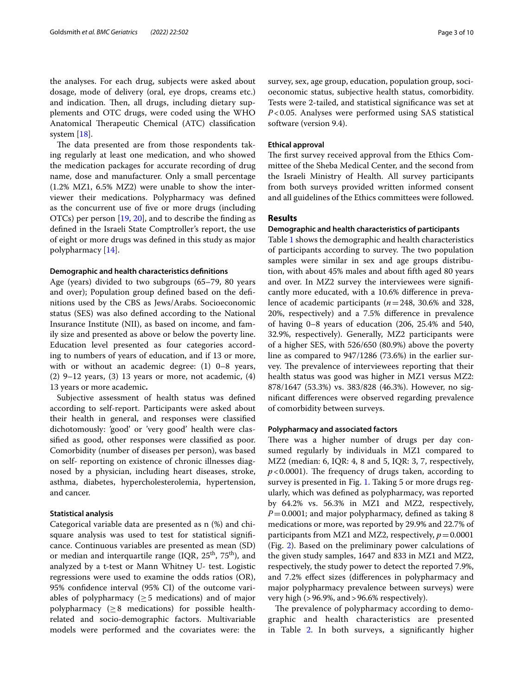the analyses. For each drug, subjects were asked about dosage, mode of delivery (oral, eye drops, creams etc.) and indication. Then, all drugs, including dietary supplements and OTC drugs, were coded using the WHO Anatomical Therapeutic Chemical (ATC) classification system [\[18](#page-9-11)].

The data presented are from those respondents taking regularly at least one medication, and who showed the medication packages for accurate recording of drug name, dose and manufacturer. Only a small percentage (1.2% MZ1, 6.5% MZ2) were unable to show the interviewer their medications. Polypharmacy was defned as the concurrent use of fve or more drugs (including OTCs) per person [[19,](#page-9-12) [20](#page-9-13)], and to describe the fnding as defned in the Israeli State Comptroller's report, the use of eight or more drugs was defned in this study as major polypharmacy [[14\]](#page-9-7).

#### **Demographic and health characteristics defnitions**

Age (years) divided to two subgroups (65–79, 80 years and over); Population group defned based on the defnitions used by the CBS as Jews/Arabs. Socioeconomic status (SES) was also defned according to the National Insurance Institute (NII), as based on income, and family size and presented as above or below the poverty line. Education level presented as four categories according to numbers of years of education, and if 13 or more, with or without an academic degree: (1) 0–8 years,  $(2)$  9–12 years,  $(3)$  13 years or more, not academic,  $(4)$ 13 years or more academic**.**

Subjective assessment of health status was defned according to self-report. Participants were asked about their health in general, and responses were classifed dichotomously: 'good' or 'very good' health were classifed as good, other responses were classifed as poor. Comorbidity (number of diseases per person), was based on self- reporting on existence of chronic illnesses diagnosed by a physician, including heart diseases, stroke, asthma, diabetes, hypercholesterolemia, hypertension, and cancer.

### **Statistical analysis**

Categorical variable data are presented as n (%) and chisquare analysis was used to test for statistical signifcance. Continuous variables are presented as mean (SD) or median and interquartile range (IQR,  $25<sup>th</sup>$ ,  $75<sup>th</sup>$ ), and analyzed by a t-test or Mann Whitney U- test. Logistic regressions were used to examine the odds ratios (OR), 95% confdence interval (95% CI) of the outcome variables of polypharmacy ( $\geq$  5 medications) and of major polypharmacy ( $\geq$ 8 medications) for possible healthrelated and socio-demographic factors. Multivariable models were performed and the covariates were: the survey, sex, age group, education, population group, socioeconomic status, subjective health status, comorbidity. Tests were 2-tailed, and statistical signifcance was set at *P*<0.05. Analyses were performed using SAS statistical software (version 9.4).

#### **Ethical approval**

The first survey received approval from the Ethics Committee of the Sheba Medical Center, and the second from the Israeli Ministry of Health. All survey participants from both surveys provided written informed consent and all guidelines of the Ethics committees were followed.

#### **Results**

#### **Demographic and health characteristics of participants**

Table [1](#page-3-0) shows the demographic and health characteristics of participants according to survey. The two population samples were similar in sex and age groups distribution, with about 45% males and about ffth aged 80 years and over. In MZ2 survey the interviewees were signifcantly more educated, with a 10.6% diference in prevalence of academic participants (*n*=248, 30.6% and 328, 20%, respectively) and a 7.5% diference in prevalence of having 0–8 years of education (206, 25.4% and 540, 32.9%, respectively). Generally, MZ2 participants were of a higher SES, with 526/650 (80.9%) above the poverty line as compared to 947/1286 (73.6%) in the earlier survey. The prevalence of interviewees reporting that their health status was good was higher in MZ1 versus MZ2: 878/1647 (53.3%) vs. 383/828 (46.3%). However, no signifcant diferences were observed regarding prevalence of comorbidity between surveys.

#### **Polypharmacy and associated factors**

There was a higher number of drugs per day consumed regularly by individuals in MZ1 compared to MZ2 (median: 6, IQR: 4, 8 and 5, IQR: 3, 7, respectively,  $p$ <0.0001). The frequency of drugs taken, according to survey is presented in Fig. [1.](#page-4-0) Taking 5 or more drugs regularly, which was defned as polypharmacy, was reported by 64.2% vs. 56.3% in MZ1 and MZ2, respectively, *P*=0.0001; and major polypharmacy, defned as taking 8 medications or more, was reported by 29.9% and 22.7% of participants from MZ1 and MZ2, respectively,  $p = 0.0001$ (Fig. [2](#page-4-1)). Based on the preliminary power calculations of the given study samples, 1647 and 833 in MZ1 and MZ2, respectively, the study power to detect the reported 7.9%, and 7.2% efect sizes (diferences in polypharmacy and major polypharmacy prevalence between surveys) were very high (>96.9%, and>96.6% respectively).

The prevalence of polypharmacy according to demographic and health characteristics are presented in Table [2](#page-5-0). In both surveys, a signifcantly higher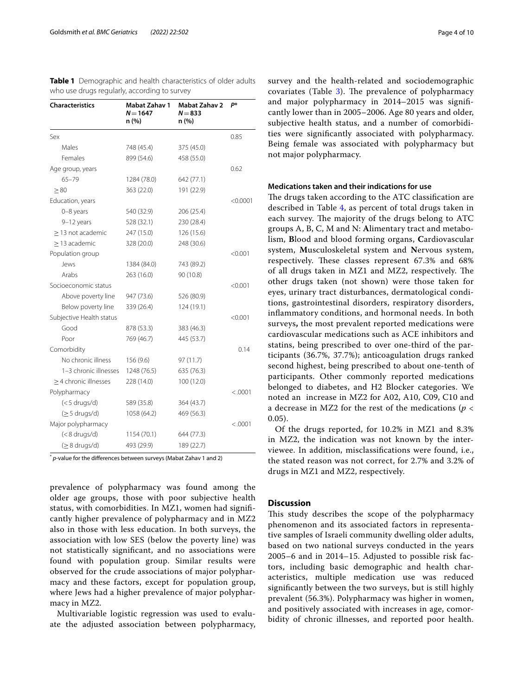| <b>Characteristics</b>   | Mabat Zahav 1<br>$N = 1647$<br>n (%) | Mabat Zahav 2<br>$N = 833$<br>n (%) | P*       |
|--------------------------|--------------------------------------|-------------------------------------|----------|
| Sex                      |                                      |                                     | 0.85     |
| Males                    | 748 (45.4)                           | 375 (45.0)                          |          |
| Females                  | 899 (54.6)                           | 458 (55.0)                          |          |
| Age group, years         |                                      |                                     | 0.62     |
| $65 - 79$                | 1284 (78.0)                          | 642 (77.1)                          |          |
| $\geq 80$                | 363 (22.0)                           | 191 (22.9)                          |          |
| Education, years         |                                      |                                     | < 0.0001 |
| 0-8 years                | 540 (32.9)                           | 206 (25.4)                          |          |
| 9-12 years               | 528 (32.1)                           | 230 (28.4)                          |          |
| > 13 not academic        | 247 (15.0)                           | 126 (15.6)                          |          |
| $\geq$ 13 academic       | 328 (20.0)                           | 248 (30.6)                          |          |
| Population group         |                                      |                                     | < 0.001  |
| Jews                     | 1384 (84.0)                          | 743 (89.2)                          |          |
| Arabs                    | 263 (16.0)                           | 90 (10.8)                           |          |
| Socioeconomic status     |                                      |                                     | < 0.001  |
| Above poverty line       | 947 (73.6)                           | 526 (80.9)                          |          |
| Below poverty line       | 339 (26.4)                           | 124 (19.1)                          |          |
| Subjective Health status |                                      |                                     | < 0.001  |
| Good                     | 878 (53.3)                           | 383 (46.3)                          |          |
| Poor                     | 769 (46.7)                           | 445 (53.7)                          |          |
| Comorbidity              |                                      |                                     | 0.14     |
| No chronic illness       | 156 (9.6)                            | 97 (11.7)                           |          |
| 1-3 chronic illnesses    | 1248 (76.5)                          | 635 (76.3)                          |          |
| > 4 chronic illnesses    | 228 (14.0)                           | 100 (12.0)                          |          |
| Polypharmacy             |                                      |                                     | < 0.0001 |
| $(< 5$ drugs/d)          | 589 (35.8)                           | 364 (43.7)                          |          |
| $(\geq 5$ drugs/d)       | 1058 (64.2)                          | 469 (56.3)                          |          |
| Major polypharmacy       |                                      |                                     | < .0001  |
| $(< 8$ drugs/d)          | 1154 (70.1)                          | 644 (77.3)                          |          |
| (≥ 8 drugs/d)            | 493 (29.9)                           | 189 (22.7)                          |          |

<span id="page-3-0"></span>**Table 1** Demographic and health characteristics of older adults who use drugs regularly, according to survey

\* *p*-value for the diferences between surveys (Mabat Zahav 1 and 2)

prevalence of polypharmacy was found among the older age groups, those with poor subjective health status, with comorbidities. In MZ1, women had signifcantly higher prevalence of polypharmacy and in MZ2 also in those with less education. In both surveys, the association with low SES (below the poverty line) was not statistically signifcant, and no associations were found with population group. Similar results were observed for the crude associations of major polypharmacy and these factors, except for population group, where Jews had a higher prevalence of major polypharmacy in MZ2.

Multivariable logistic regression was used to evaluate the adjusted association between polypharmacy, survey and the health-related and sociodemographic covariates (Table  $3$ ). The prevalence of polypharmacy and major polypharmacy in 2014–2015 was signifcantly lower than in 2005–2006. Age 80 years and older, subjective health status, and a number of comorbidities were signifcantly associated with polypharmacy. Being female was associated with polypharmacy but not major polypharmacy.

#### **Medications taken and their indications for use**

The drugs taken according to the ATC classification are described in Table [4](#page-7-0), as percent of total drugs taken in each survey. The majority of the drugs belong to ATC groups A, B, C, M and N: **A**limentary tract and metabolism, **B**lood and blood forming organs, **C**ardiovascular system, **M**usculoskeletal system and **N**ervous system, respectively. These classes represent 67.3% and 68% of all drugs taken in MZ1 and MZ2, respectively. The other drugs taken (not shown) were those taken for eyes, urinary tract disturbances, dermatological conditions, gastrointestinal disorders, respiratory disorders, infammatory conditions, and hormonal needs. In both surveys**,** the most prevalent reported medications were cardiovascular medications such as ACE inhibitors and statins, being prescribed to over one-third of the participants (36.7%, 37.7%); anticoagulation drugs ranked second highest, being prescribed to about one-tenth of participants. Other commonly reported medications belonged to diabetes, and H2 Blocker categories. We noted an increase in MZ2 for A02, A10, C09, C10 and a decrease in MZ2 for the rest of the medications (*p* < 0.05).

Of the drugs reported, for 10.2% in MZ1 and 8.3% in MZ2, the indication was not known by the interviewee. In addition, misclassifcations were found, i.e., the stated reason was not correct, for 2.7% and 3.2% of drugs in MZ1 and MZ2, respectively.

### **Discussion**

This study describes the scope of the polypharmacy phenomenon and its associated factors in representative samples of Israeli community dwelling older adults, based on two national surveys conducted in the years 2005–6 and in 2014–15. Adjusted to possible risk factors, including basic demographic and health characteristics, multiple medication use was reduced signifcantly between the two surveys, but is still highly prevalent (56.3%). Polypharmacy was higher in women, and positively associated with increases in age, comorbidity of chronic illnesses, and reported poor health.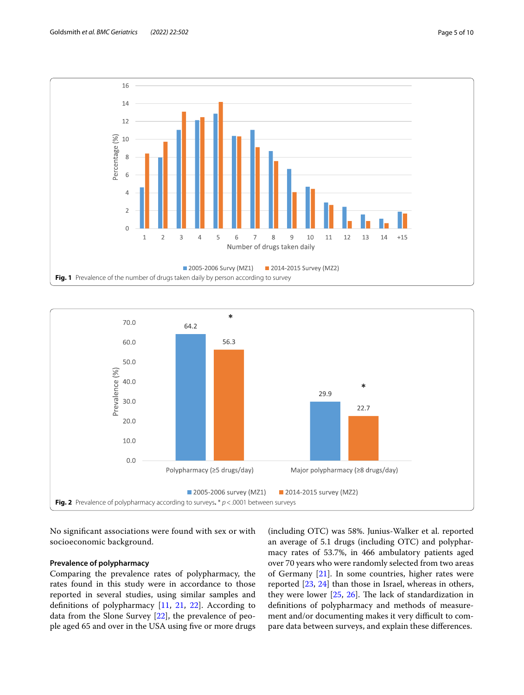

<span id="page-4-0"></span>

<span id="page-4-1"></span>No signifcant associations were found with sex or with socioeconomic background.

## **Prevalence of polypharmacy**

Comparing the prevalence rates of polypharmacy, the rates found in this study were in accordance to those reported in several studies, using similar samples and defnitions of polypharmacy [\[11,](#page-9-4) [21](#page-9-14), [22\]](#page-9-15). According to data from the Slone Survey [[22\]](#page-9-15), the prevalence of people aged 65 and over in the USA using five or more drugs

(including OTC) was 58%. Junius-Walker et al. reported an average of 5.1 drugs (including OTC) and polypharmacy rates of 53.7%, in 466 ambulatory patients aged over 70 years who were randomly selected from two areas of Germany [\[21](#page-9-14)]. In some countries, higher rates were reported [[23](#page-9-16), [24\]](#page-9-17) than those in Israel, whereas in others, they were lower  $[25, 26]$  $[25, 26]$  $[25, 26]$ . The lack of standardization in defnitions of polypharmacy and methods of measurement and/or documenting makes it very difficult to compare data between surveys, and explain these diferences.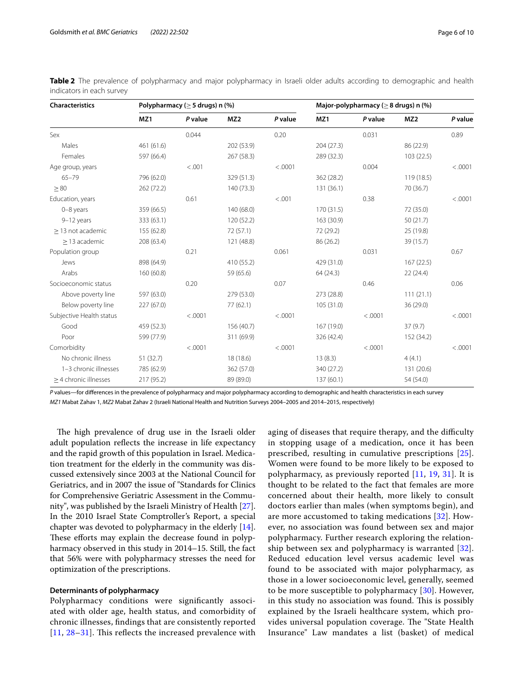| Characteristics            | Polypharmacy ( $\geq$ 5 drugs) n (%) |         |                 | Major-polypharmacy ( $\geq$ 8 drugs) n (%) |            |         |                 |         |
|----------------------------|--------------------------------------|---------|-----------------|--------------------------------------------|------------|---------|-----------------|---------|
|                            | MZ1                                  | P value | MZ <sub>2</sub> | P value                                    | MZ1        | P value | MZ <sub>2</sub> | P value |
| Sex                        |                                      | 0.044   |                 | 0.20                                       |            | 0.031   |                 | 0.89    |
| Males                      | 461 (61.6)                           |         | 202 (53.9)      |                                            | 204(27.3)  |         | 86 (22.9)       |         |
| Females                    | 597 (66.4)                           |         | 267 (58.3)      |                                            | 289 (32.3) |         | 103(22.5)       |         |
| Age group, years           |                                      | < .001  |                 | < .0001                                    |            | 0.004   |                 | < .0001 |
| $65 - 79$                  | 796 (62.0)                           |         | 329 (51.3)      |                                            | 362 (28.2) |         | 119 (18.5)      |         |
| > 80                       | 262 (72.2)                           |         | 140 (73.3)      |                                            | 131 (36.1) |         | 70 (36.7)       |         |
| Education, years           |                                      | 0.61    |                 | < .001                                     |            | 0.38    |                 | < .0001 |
| $0-8$ years                | 359 (66.5)                           |         | 140 (68.0)      |                                            | 170 (31.5) |         | 72 (35.0)       |         |
| 9-12 years                 | 333 (63.1)                           |         | 120(52.2)       |                                            | 163 (30.9) |         | 50(21.7)        |         |
| $\geq$ 13 not academic     | 155 (62.8)                           |         | 72 (57.1)       |                                            | 72 (29.2)  |         | 25 (19.8)       |         |
| > 13 academic              | 208 (63.4)                           |         | 121 (48.8)      |                                            | 86 (26.2)  |         | 39 (15.7)       |         |
| Population group           |                                      | 0.21    |                 | 0.061                                      |            | 0.031   |                 | 0.67    |
| Jews                       | 898 (64.9)                           |         | 410 (55.2)      |                                            | 429 (31.0) |         | 167(22.5)       |         |
| Arabs                      | 160(60.8)                            |         | 59 (65.6)       |                                            | 64 (24.3)  |         | 22(24.4)        |         |
| Socioeconomic status       |                                      | 0.20    |                 | 0.07                                       |            | 0.46    |                 | 0.06    |
| Above poverty line         | 597 (63.0)                           |         | 279 (53.0)      |                                            | 273 (28.8) |         | 111(21.1)       |         |
| Below poverty line         | 227 (67.0)                           |         | 77(62.1)        |                                            | 105 (31.0) |         | 36 (29.0)       |         |
| Subjective Health status   |                                      | < .0001 |                 | < .0001                                    |            | < .0001 |                 | < .0001 |
| Good                       | 459 (52.3)                           |         | 156 (40.7)      |                                            | 167 (19.0) |         | 37(9.7)         |         |
| Poor                       | 599 (77.9)                           |         | 311 (69.9)      |                                            | 326 (42.4) |         | 152 (34.2)      |         |
| Comorbidity                |                                      | < .0001 |                 | < .0001                                    |            | < .0001 |                 | < .0001 |
| No chronic illness         | 51 (32.7)                            |         | 18 (18.6)       |                                            | 13(8.3)    |         | 4(4.1)          |         |
| 1-3 chronic illnesses      | 785 (62.9)                           |         | 362 (57.0)      |                                            | 340 (27.2) |         | 131 (20.6)      |         |
| $\geq$ 4 chronic illnesses | 217 (95.2)                           |         | 89 (89.0)       |                                            | 137 (60.1) |         | 54 (54.0)       |         |

<span id="page-5-0"></span>**Table 2** The prevalence of polypharmacy and major polypharmacy in Israeli older adults according to demographic and health indicators in each survey

*P* values—for diferences in the prevalence of polypharmacy and major polypharmacy according to demographic and health characteristics in each survey *MZ1* Mabat Zahav 1, *MZ2* Mabat Zahav 2 (Israeli National Health and Nutrition Surveys 2004–2005 and 2014–2015, respectively)

The high prevalence of drug use in the Israeli older adult population refects the increase in life expectancy and the rapid growth of this population in Israel. Medication treatment for the elderly in the community was discussed extensively since 2003 at the National Council for Geriatrics, and in 2007 the issue of "Standards for Clinics for Comprehensive Geriatric Assessment in the Community", was published by the Israeli Ministry of Health [\[27](#page-9-20)]. In the 2010 Israel State Comptroller's Report, a special chapter was devoted to polypharmacy in the elderly [\[14](#page-9-7)]. These efforts may explain the decrease found in polypharmacy observed in this study in 2014–15. Still, the fact that 56% were with polypharmacy stresses the need for optimization of the prescriptions.

### **Determinants of polypharmacy**

Polypharmacy conditions were signifcantly associated with older age, health status, and comorbidity of chronic illnesses, fndings that are consistently reported  $[11, 28-31]$  $[11, 28-31]$  $[11, 28-31]$  $[11, 28-31]$  $[11, 28-31]$ . This reflects the increased prevalence with

aging of diseases that require therapy, and the difficulty in stopping usage of a medication, once it has been prescribed, resulting in cumulative prescriptions [[25](#page-9-18)]. Women were found to be more likely to be exposed to polypharmacy, as previously reported [[11,](#page-9-4) [19,](#page-9-12) [31](#page-9-22)]. It is thought to be related to the fact that females are more concerned about their health, more likely to consult doctors earlier than males (when symptoms begin), and are more accustomed to taking medications [\[32](#page-9-23)]. However, no association was found between sex and major polypharmacy. Further research exploring the relationship between sex and polypharmacy is warranted [[32](#page-9-23)]. Reduced education level versus academic level was found to be associated with major polypharmacy, as those in a lower socioeconomic level, generally, seemed to be more susceptible to polypharmacy [[30\]](#page-9-24). However, in this study no association was found. This is possibly explained by the Israeli healthcare system, which provides universal population coverage. The "State Health Insurance" Law mandates a list (basket) of medical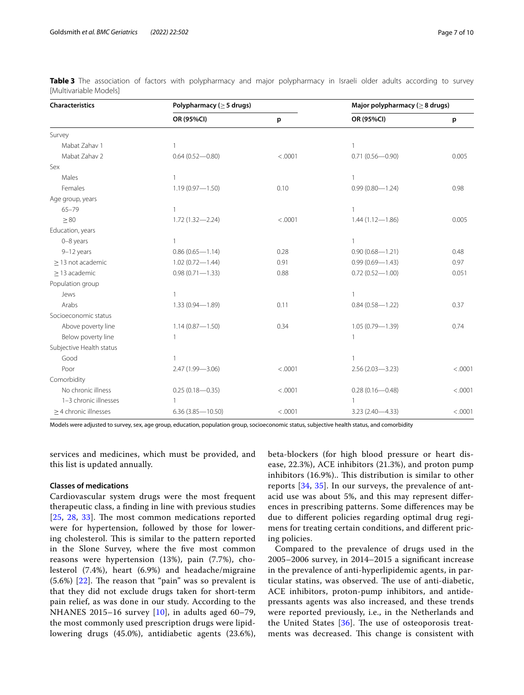| <b>Characteristics</b>     | Polypharmacy ( $\geq$ 5 drugs) |         | Major polypharmacy ( $\geq$ 8 drugs) |         |  |
|----------------------------|--------------------------------|---------|--------------------------------------|---------|--|
|                            | OR (95%CI)                     | p       | OR (95%CI)                           | p       |  |
| Survey                     |                                |         |                                      |         |  |
| Mabat Zahav 1              | $\mathbf{1}$                   |         | $\mathbf{1}$                         |         |  |
| Mabat Zahav 2              | $0.64(0.52 - 0.80)$            | < .0001 | $0.71(0.56 - 0.90)$                  | 0.005   |  |
| Sex                        |                                |         |                                      |         |  |
| Males                      | 1                              |         | $\mathbf{1}$                         |         |  |
| Females                    | $1.19(0.97 - 1.50)$            | 0.10    | $0.99(0.80 - 1.24)$                  | 0.98    |  |
| Age group, years           |                                |         |                                      |         |  |
| $65 - 79$                  | 1                              |         | $\mathbf{1}$                         |         |  |
| > 80                       | $1.72(1.32 - 2.24)$            | < .0001 | $1.44(1.12 - 1.86)$                  | 0.005   |  |
| Education, years           |                                |         |                                      |         |  |
| 0-8 years                  | 1                              |         | $\mathbf{1}$                         |         |  |
| 9-12 years                 | $0.86(0.65 - 1.14)$            | 0.28    | $0.90(0.68 - 1.21)$                  | 0.48    |  |
| $\geq$ 13 not academic     | $1.02(0.72 - 1.44)$            | 0.91    | $0.99(0.69 - 1.43)$                  | 0.97    |  |
| $\geq$ 13 academic         | $0.98(0.71 - 1.33)$            | 0.88    | $0.72(0.52 - 1.00)$                  | 0.051   |  |
| Population group           |                                |         |                                      |         |  |
| Jews                       | $\mathbf{1}$                   |         | $\mathbf{1}$                         |         |  |
| Arabs                      | $1.33(0.94 - 1.89)$            | 0.11    | $0.84(0.58 - 1.22)$                  | 0.37    |  |
| Socioeconomic status       |                                |         |                                      |         |  |
| Above poverty line         | $1.14(0.87 - 1.50)$            | 0.34    | $1.05(0.79 - 1.39)$                  | 0.74    |  |
| Below poverty line         | $\mathbf{1}$                   |         | $\mathbf{1}$                         |         |  |
| Subjective Health status   |                                |         |                                      |         |  |
| Good                       | 1                              |         | $\mathbf{1}$                         |         |  |
| Poor                       | 2.47 (1.99-3.06)               | < .0001 | $2.56(2.03 - 3.23)$                  | < .0001 |  |
| Comorbidity                |                                |         |                                      |         |  |
| No chronic illness         | $0.25(0.18 - 0.35)$            | < .0001 | $0.28(0.16 - 0.48)$                  | < .0001 |  |
| 1-3 chronic illnesses      | $\mathbf{1}$                   |         | $\mathbf{1}$                         |         |  |
| $\geq$ 4 chronic illnesses | 6.36 (3.85-10.50)              | < .0001 | $3.23(2.40 - 4.33)$                  | < .0001 |  |

<span id="page-6-0"></span>**Table 3** The association of factors with polypharmacy and major polypharmacy in Israeli older adults according to survey [Multivariable Models]

Models were adjusted to survey, sex, age group, education, population group, socioeconomic status, subjective health status, and comorbidity

services and medicines, which must be provided, and this list is updated annually.

#### **Classes of medications**

Cardiovascular system drugs were the most frequent therapeutic class, a fnding in line with previous studies  $[25, 28, 33]$  $[25, 28, 33]$  $[25, 28, 33]$  $[25, 28, 33]$  $[25, 28, 33]$  $[25, 28, 33]$ . The most common medications reported were for hypertension, followed by those for lowering cholesterol. This is similar to the pattern reported in the Slone Survey, where the fve most common reasons were hypertension (13%), pain (7.7%), cholesterol (7.4%), heart (6.9%) and headache/migraine  $(5.6%)$   $[22]$  $[22]$ . The reason that "pain" was so prevalent is that they did not exclude drugs taken for short-term pain relief, as was done in our study. According to the NHANES 2015–16 survey [\[10](#page-9-3)], in adults aged 60–79, the most commonly used prescription drugs were lipidlowering drugs (45.0%), antidiabetic agents (23.6%), beta-blockers (for high blood pressure or heart disease, 22.3%), ACE inhibitors (21.3%), and proton pump inhibitors (16.9%).. This distribution is similar to other reports [[34](#page-9-26), [35\]](#page-9-27). In our surveys, the prevalence of antacid use was about 5%, and this may represent diferences in prescribing patterns. Some diferences may be due to diferent policies regarding optimal drug regimens for treating certain conditions, and diferent pricing policies.

Compared to the prevalence of drugs used in the 2005–2006 survey, in 2014–2015 a signifcant increase in the prevalence of anti-hyperlipidemic agents, in particular statins, was observed. The use of anti-diabetic, ACE inhibitors, proton-pump inhibitors, and antidepressants agents was also increased, and these trends were reported previously, i.e., in the Netherlands and the United States  $[36]$  $[36]$ . The use of osteoporosis treatments was decreased. This change is consistent with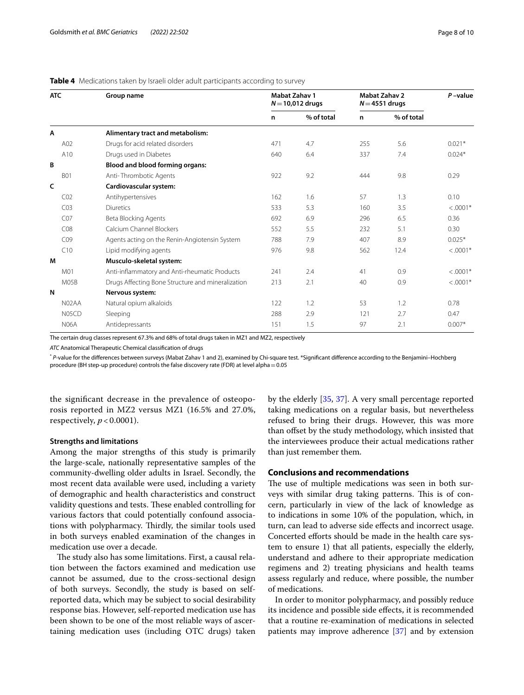## <span id="page-7-0"></span>**Table 4** Medications taken by Israeli older adult participants according to survey

| <b>ATC</b>      | Group name                                        | <b>Mabat Zahav 1</b><br>$N = 10,012$ drugs |            | <b>Mabat Zahav 2</b><br>$N = 4551$ drugs |            | $P$ -value |
|-----------------|---------------------------------------------------|--------------------------------------------|------------|------------------------------------------|------------|------------|
|                 |                                                   | n                                          | % of total | n                                        | % of total |            |
| A               | Alimentary tract and metabolism:                  |                                            |            |                                          |            |            |
| A02             | Drugs for acid related disorders                  | 471                                        | 4.7        | 255                                      | 5.6        | $0.021*$   |
| A10             | Drugs used in Diabetes                            | 640                                        | 6.4        | 337                                      | 7.4        | $0.024*$   |
| B               | <b>Blood and blood forming organs:</b>            |                                            |            |                                          |            |            |
| <b>B01</b>      | Anti-Thrombotic Agents                            | 922                                        | 9.2        | 444                                      | 9.8        | 0.29       |
| C               | Cardiovascular system:                            |                                            |            |                                          |            |            |
| CO <sub>2</sub> | Antihypertensives                                 | 162                                        | 1.6        | 57                                       | 1.3        | 0.10       |
| CO <sub>3</sub> | <b>Diuretics</b>                                  | 533                                        | 5.3        | 160                                      | 3.5        | $< .0001*$ |
| CO <sub>7</sub> | Beta Blocking Agents                              | 692                                        | 6.9        | 296                                      | 6.5        | 0.36       |
| CO8             | Calcium Channel Blockers                          | 552                                        | 5.5        | 232                                      | 5.1        | 0.30       |
| CO9             | Agents acting on the Renin-Angiotensin System     | 788                                        | 7.9        | 407                                      | 8.9        | $0.025*$   |
| C10             | Lipid modifying agents                            | 976                                        | 9.8        | 562                                      | 12.4       | $< .0001*$ |
| M               | Musculo-skeletal system:                          |                                            |            |                                          |            |            |
| M01             | Anti-inflammatory and Anti-rheumatic Products     | 241                                        | 2.4        | 41                                       | 0.9        | $< .0001*$ |
| M05B            | Drugs Affecting Bone Structure and mineralization | 213                                        | 2.1        | 40                                       | 0.9        | $< .0001*$ |
| N               | Nervous system:                                   |                                            |            |                                          |            |            |
| N02AA           | Natural opium alkaloids                           | 122                                        | 1.2        | 53                                       | 1.2        | 0.78       |
| N05CD           | Sleeping                                          | 288                                        | 2.9        | 121                                      | 2.7        | 0.47       |
| <b>N06A</b>     | Antidepressants                                   | 151                                        | 1.5        | 97                                       | 2.1        | $0.007*$   |

The certain drug classes represent 67.3% and 68% of total drugs taken in MZ1 and MZ2, respectively

*ATC* Anatomical Therapeutic Chemical classifcation of drugs

\* *P*-value for the diferences between surveys (Mabat Zahav 1 and 2), examined by Chi-square test. \*Signifcant diference according to the Benjamini–Hochberg procedure (BH step-up procedure) controls the false discovery rate (FDR) at level alpha = 0.05

the signifcant decrease in the prevalence of osteoporosis reported in MZ2 versus MZ1 (16.5% and 27.0%, respectively,  $p < 0.0001$ ).

#### **Strengths and limitations**

Among the major strengths of this study is primarily the large-scale, nationally representative samples of the community-dwelling older adults in Israel. Secondly, the most recent data available were used, including a variety of demographic and health characteristics and construct validity questions and tests. These enabled controlling for various factors that could potentially confound associations with polypharmacy. Thirdly, the similar tools used in both surveys enabled examination of the changes in medication use over a decade.

The study also has some limitations. First, a causal relation between the factors examined and medication use cannot be assumed, due to the cross-sectional design of both surveys. Secondly, the study is based on selfreported data, which may be subject to social desirability response bias. However, self-reported medication use has been shown to be one of the most reliable ways of ascertaining medication uses (including OTC drugs) taken by the elderly [[35,](#page-9-27) [37\]](#page-9-29). A very small percentage reported taking medications on a regular basis, but nevertheless refused to bring their drugs. However, this was more than offset by the study methodology, which insisted that the interviewees produce their actual medications rather than just remember them.

## **Conclusions and recommendations**

The use of multiple medications was seen in both surveys with similar drug taking patterns. This is of concern, particularly in view of the lack of knowledge as to indications in some 10% of the population, which, in turn, can lead to adverse side efects and incorrect usage. Concerted efforts should be made in the health care system to ensure 1) that all patients, especially the elderly, understand and adhere to their appropriate medication regimens and 2) treating physicians and health teams assess regularly and reduce, where possible, the number of medications.

In order to monitor polypharmacy, and possibly reduce its incidence and possible side efects, it is recommended that a routine re-examination of medications in selected patients may improve adherence [\[37](#page-9-29)] and by extension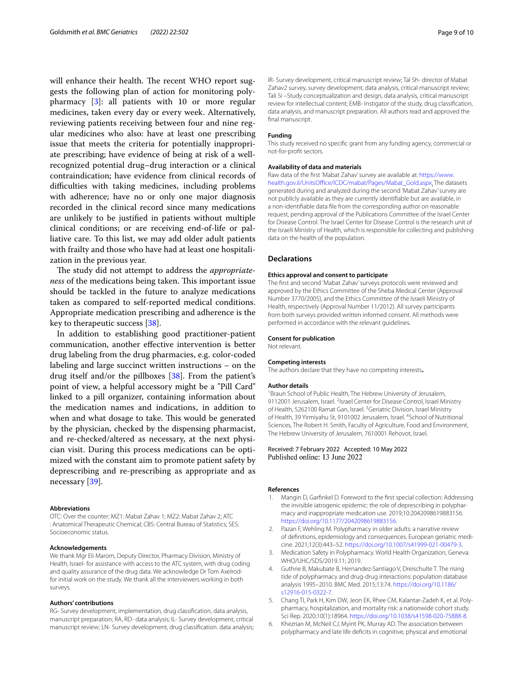will enhance their health. The recent WHO report suggests the following plan of action for monitoring polypharmacy [[3\]](#page-8-1): all patients with 10 or more regular medicines, taken every day or every week. Alternatively, reviewing patients receiving between four and nine regular medicines who also: have at least one prescribing issue that meets the criteria for potentially inappropriate prescribing; have evidence of being at risk of a wellrecognized potential drug–drug interaction or a clinical contraindication; have evidence from clinical records of difficulties with taking medicines, including problems with adherence; have no or only one major diagnosis recorded in the clinical record since many medications are unlikely to be justifed in patients without multiple clinical conditions; or are receiving end-of-life or palliative care. To this list, we may add older adult patients with frailty and those who have had at least one hospitalization in the previous year.

The study did not attempt to address the *appropriateness* of the medications being taken. This important issue should be tackled in the future to analyze medications taken as compared to self-reported medical conditions. Appropriate medication prescribing and adherence is the key to therapeutic success [\[38\]](#page-9-30).

In addition to establishing good practitioner-patient communication, another efective intervention is better drug labeling from the drug pharmacies, e.g. color-coded labeling and large succinct written instructions – on the drug itself and/or the pillboxes [[38\]](#page-9-30). From the patient's point of view, a helpful accessory might be a "Pill Card" linked to a pill organizer, containing information about the medication names and indications, in addition to when and what dosage to take. This would be generated by the physician, checked by the dispensing pharmacist, and re-checked/altered as necessary, at the next physician visit. During this process medications can be optimized with the constant aim to promote patient safety by deprescribing and re-prescribing as appropriate and as necessary [[39\]](#page-9-31).

#### **Abbreviations**

OTC: Over the counter; MZ1: Mabat Zahav 1; MZ2: Mabat Zahav 2; ATC : Anatomical Therapeutic Chemical; CBS: Central Bureau of Statistics; SES: Socioeconomic status.

#### **Acknowledgements**

We thank Mgr Eli Marom, Deputy Director, Pharmacy Division, Ministry of Health, Israel- for assistance with access to the ATC system, with drug coding and quality assurance of the drug data. We acknowledge Dr Tom Axelrodfor initial work on the study. We thank all the interviewers working in both surveys.

#### **Authors' contributions**

RG- Survey development, implementation, drug classifcation, data analysis, manuscript preparation; RA, RD- data analysis; IL- Survey development, critical manuscript review; LN- Survey development, drug classifcation. data analysis; IR- Survey development, critical manuscript review; Tal Sh- director of Mabat Zahav2 survey, survey development, data analysis, critical manuscript review; Tali Si –Study conceptualization and design, data analysis, critical manuscript review for intellectual content; EMB- Instigator of the study, drug classifcation, data analysis, and manuscript preparation. All authors read and approved the final manuscript.

#### **Funding**

This study received no specifc grant from any funding agency, commercial or not-for-proft sectors.

#### **Availability of data and materials**

Raw data of the frst 'Mabat Zahav' survey are available at: [https://www.](https://www.health.gov.il/UnitsOffice/ICDC/mabat/Pages/Mabat_Gold.aspx) health.gov.il/UnitsOffice/ICDC/mabat/Pages/Mabat\_Gold.aspx. The datasets generated during and analyzed during the second 'Mabat Zahav' survey are not publicly available as they are currently identifable but are available, in a non-identifable data fle from the corresponding author on reasonable request, pending approval of the Publications Committee of the Israel Center for Disease Control. The Israel Center for Disease Control is the research unit of the Israeli Ministry of Health, which is responsible for collecting and publishing data on the health of the population.

#### **Declarations**

### **Ethics approval and consent to participate**

The frst and second 'Mabat Zahav' surveys protocols were reviewed and approved by the Ethics Committee of the Sheba Medical Center (Approval Number 3770/2005), and the Ethics Committee of the Israeli Ministry of Health, respectively (Approval Number 11/2012). All survey participants from both surveys provided written informed consent. All methods were performed in accordance with the relevant guidelines.

#### **Consent for publication**

Not relevant.

#### **Competing interests**

The authors declare that they have no competing interests**.**

#### **Author details**

<sup>1</sup> Braun School of Public Health, The Hebrew University of Jerusalem, 9112001 Jerusalem, Israel. <sup>2</sup>Israel Center for Disease Control, Israel Ministry of Health, 5262100 Ramat Gan, Israel. <sup>3</sup> Geriatric Division, Israel Ministry of Health, 39 Yirmiyahu St, 9101002 Jerusalem, Israel. <sup>4</sup>School of Nutritional Sciences, The Robert H. Smith, Faculty of Agriculture, Food and Environment, The Hebrew University of Jerusalem, 7610001 Rehovot, Israel.

#### Received: 7 February 2022 Accepted: 10 May 2022 Published online: 13 June 2022

#### **References**

- <span id="page-8-0"></span>Mangin D, Garfinkel D. Foreword to the first special collection: Addressing the invisible iatrogenic epidemic: the role of deprescribing in polypharmacy and inappropriate medication use. 2019;10:2042098619883156. <https://doi.org/10.1177/2042098619883156>.
- 2. Pazan F, Wehling M. Polypharmacy in older adults: a narrative review of definitions, epidemiology and consequences. European geriatric medicine. 2021;12(3):443–52. [https://doi.org/10.1007/s41999-021-00479-3.](https://doi.org/10.1007/s41999-021-00479-3)
- <span id="page-8-1"></span>3. Medication Safety in Polypharmacy. World Health Organization, Geneva: WHO/UHC/SDS/2019.11; 2019.
- <span id="page-8-2"></span>4. Guthrie B, Makubate B, Hernandez-Santiago V, Dreischulte T. The rising tide of polypharmacy and drug-drug interactions: population database analysis 1995–2010. BMC Med. 2015;13:74. [https://doi.org/10.1186/](https://doi.org/10.1186/s12916-015-0322-7) [s12916-015-0322-7.](https://doi.org/10.1186/s12916-015-0322-7)
- <span id="page-8-3"></span>5. Chang TI, Park H, Kim DW, Jeon EK, Rhee CM, Kalantar-Zadeh K, et al. Polypharmacy, hospitalization, and mortality risk: a nationwide cohort study. Sci Rep. 2020;10(1):18964. <https://doi.org/10.1038/s41598-020-75888-8>.
- <span id="page-8-4"></span>6. Khezrian M, McNeil CJ, Myint PK, Murray AD. The association between polypharmacy and late life deficits in cognitive, physical and emotional